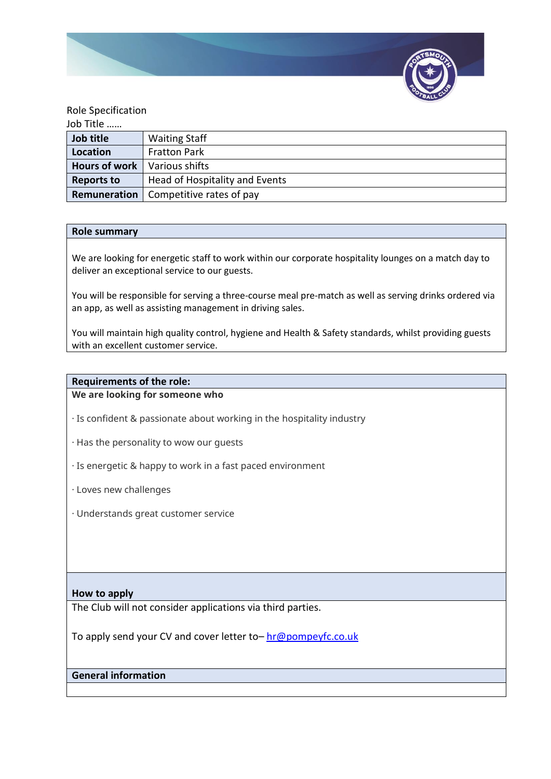

### Role Specification

| Job Title            |                                |
|----------------------|--------------------------------|
| Job title            | <b>Waiting Staff</b>           |
| Location             | <b>Fratton Park</b>            |
| <b>Hours of work</b> | Various shifts                 |
| <b>Reports to</b>    | Head of Hospitality and Events |
| Remuneration         | Competitive rates of pay       |

#### **Role summary**

We are looking for energetic staff to work within our corporate hospitality lounges on a match day to deliver an exceptional service to our guests.

You will be responsible for serving a three-course meal pre-match as well as serving drinks ordered via an app, as well as assisting management in driving sales.

You will maintain high quality control, hygiene and Health & Safety standards, whilst providing guests with an excellent customer service.

### **Requirements of the role:**

**We are looking for someone who**

· Is confident & passionate about working in the hospitality industry

· Has the personality to wow our guests

- · Is energetic & happy to work in a fast paced environment
- · Loves new challenges
- · Understands great customer service

### **How to apply**

The Club will not consider applications via third parties.

To apply send your CV and cover letter to – [hr@pompeyfc.co.uk](mailto:hr@pompeyfc.co.uk)

# **General information**